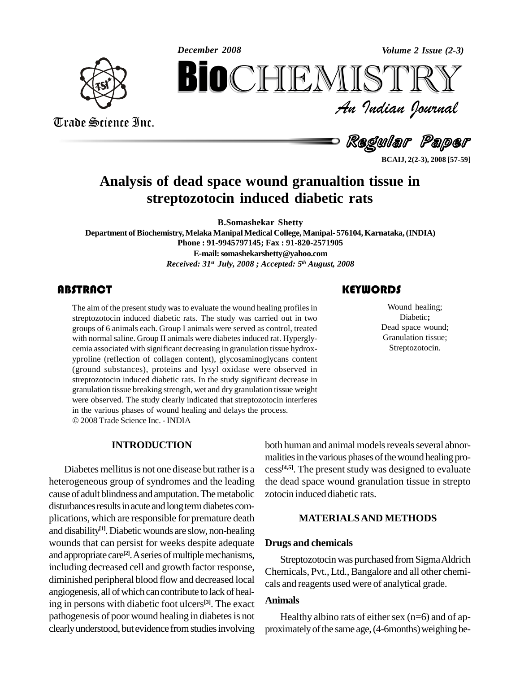*December 2008 Volume 2 Issue (2-3)*



Trade Science Inc.

Trade Science Inc.

*Volume 2 Issue (2-3)*<br> $\begin{array}{c} \bigcirc \mathbb{T} \mathbb{R} \mathbb{Y} \ \mathcal{I} \end{array}$ **BiOCHEMISTRY**<br>An Indian Iournal<br>Regular Paper<br>Regular Paper<br>Regular Paper<br>Regular Paper<br>Regular Paper<br>Regular Paper

Regular Paper

**BCAIJ, 2(2-3), 2008 [57-59]**

### **Analysis of dead space wound granualtion tissue in streptozotocin induced diabetic rats**

**B.Somashekar Shetty**

**Department ofBiochemistry,Melaka ManipalMedical College,Manipal- 576104,Karnataka,(INDIA) Phone : 91-9945797145; Fax : 91-820-2571905 E-mail:[somashekarshetty@yahoo.com](mailto:somashekarshetty@yahoo.com)** *Received: 31 st July, 2008 ; Accepted: 5 th August, 2008*

The aim of the present sturf<br>streptozotocin induced d<br>groups of 6 animals each. The aim of the present study was to evaluate the wound healing profiles in streptozotocin induced diabetic rats. The study was carried out in two groups of 6 animals each. Group I animals were served as control, treated with normal saline. Group II animals were diabetes induced rat. Hyperglycemia associated with significant decreasing in granulation tissue hydrox yproline (reflection of collagen content), glycosaminoglycans content (ground substances), proteins and lysyl oxidase were observed in streptozotocin induced diabetic rats. In the study significant decrease in granulation tissue breaking strength, wet and dry granulation tissue weight were observed. The study clearly indicated that streptozotocin interferes in the various phases of wound healing and delays the process. 2008Trade Science Inc. - INDIA

#### **INTRODUCTION**

Diabetes mellitus is not one disease but rather is a heterogeneous group of syndromes and the leading cause of adult blindness and amputation. The metabolic disturbances results in acute and long term diabetes complications, which are responsible for premature death and disability **[1]**.Diabeticwounds are slow, non-healing wounds that can persist for weeks despite adequate and appropriate care<sup>[2]</sup>. A series of multiple mechanisms, including decreased cell and growth factor response, diminished peripheral blood flow and decreased local angiogenesis, all of which can contribute to lack of healing in persons with diabetic foot ulcers **[3]**. The exact pathogenesis of poor wound healing in diabetes is not clearlyunderstood, but evidence fromstudiesinvolving

### **KEYWORDS**

Wound healing;<br>Diabetic;<br>Dead space wound; Wound healing; Diabetic**;** Granulation tissue; Streptozotocin.

both human and animal models reveals several abnormalities in the various phases of the wound healing process **[4,5]**. The present study was designed to evaluate the dead space wound granulation tissue in strepto zotocin induced diabetic rats.

#### **MATERIALSAND METHODS**

#### **Drugs and chemicals**

Streptozotocin was purchased from Sigma Aldrich Chemicals, Pvt., Ltd., Bangalore and all other chemicals and reagents used were of analytical grade.

#### **Animals**

Healthy albino rats of either sex  $(n=6)$  and of approximately of the same age, (4-6months) weighing be-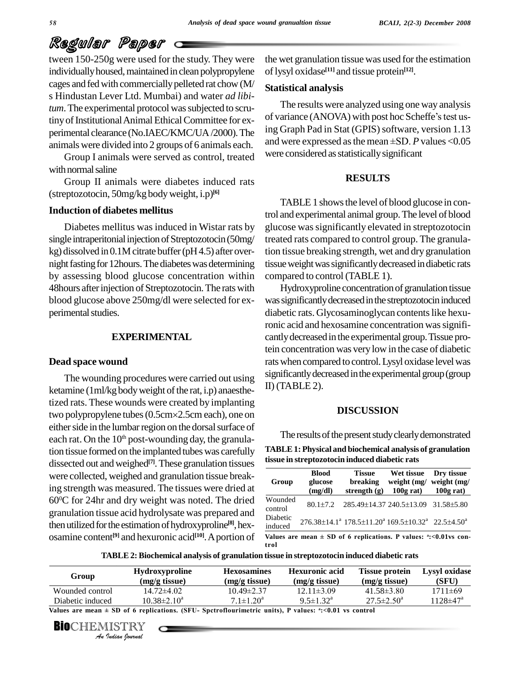# Regular Paper

tween 150-250g were used for the study. They were individually housed, maintained in clean polypropylene cages and fed with commercially pelleted rat chow (M/ s Hindustan Lever Ltd. Mumbai) and water *ad libitum*. The experimental protocol was subjected to scrutiny of Institutional Animal Ethical Committee for experimental clearance (No.IAEC/KMC/UA/2000). The ling Graph Pad in Stat (GPIS) software, version 1.15<br>animals were divided into 2 groups of 6 animals each and were expressed as the mean ±SD. P values <0.05 animals were divided into 2 groups of 6 animals each.

Group I animals were served as control, treated with normal saline

Group II animals were diabetes induced rats (streptozotocin, 50mg/kg bodyweight, i.p) **[6]**

#### **Induction of diabetes mellitus**

Diabetes mellitus was induced in Wistar rats by single intraperitonial injection of Streptozotocin (50mg/ kg) dissolved in  $0.1M$  citrate buffer (pH4.5) after overnight fasting for 12 hours. The diabetes was determining by assessing blood glucose concentration within 48 hours after injection of Streptozotocin. The rats with blood glucose above 250mg/dl were selected for ex perimental studies.

#### **EXPERIMENTAL**

#### **Dead space wound**

The wounding procedures were carried out using ketamine  $(1m/kg$  body weight of the rat, i.p) anaesthetized rats.These wounds were created by implanting ketamine (1ml/kg body weight of the rat, i.p) anaesthe-<br>tized rats. These wounds were created by implanting<br>two polypropylene tubes (0.5cm×2.5cm each), one on either side in the lumbar region on the dorsal surface of each rat. On the  $10<sup>th</sup>$  post-wounding day, the granulation tissue formed on the implanted tubes was carefully dissected out and weighed<sup>[7]</sup>. These granulation tissues **Listuan** were collected, weighed and granulation tissue breaking strength was measured. The tissues were dried at 60 <sup>0</sup>C for 24hr and dry weight was noted. The dried granulation tissue acid hydrolysate was prepared and then utilized for the estimation of hydroxyproline<sup>[8]</sup>, hex-<br>indu osamine content<sup>[9]</sup> and hexuronic acid<sup>[10]</sup>. A portion of value

the wet granulation tissue was used for the estimation oflysyl oxidase **[11]** and tissue protein **[12]**.

#### **Statistical analysis**

The results were analyzed using one way analysis Statistical analysis<br>The results were analyzed using one way analysis<br>of variance (ANOVA) with post hoc Scheffe's test using Graph Pad in Stat (GPIS) software, version 1.13 of variance (ANOVA) with post hoc Scheffe's test us-<br>ing Graph Pad in Stat (GPIS) software, version 1.13<br>and were expressed as the mean ±SD. *P* values <0.05 were considered as statistically significant

#### **RESULTS**

TABLE1 showsthe level of blood glucose in control and experimental animal group.The level of blood glucose wassignificantly elevated in streptozotocin treated rats compared to control group. The granulation tissue breaking strength, wet and dry granulation tissue weight was significantly decreased in diabetic rats compared to control (TABLE 1).

Hydroxyproline concentration of granulation tissue was significantly decreased in the streptozotocin induced diabetic rats. Glycosaminoglycan contents like hexuronic acid and hexosamine concentration was significantlydecreasedin the experimental group.Tissue protein concentration was verylow in the case of diabetic rats when compared to control. Lysyl oxidase level was significantly decreased in the experimental group (group II) (TABLE 2).

#### **DISCUSSION**

The results of the present study clearly demonstrated **TABLE1: Physical and biochemical analysis of granulation tissue in streptozotocin induced diabetic rats**

| Group               | <b>Blood</b><br>glucose<br>(mg/dl) | <b>Tissue</b><br>breaking<br>strength $(g)$                                                                    | Wet tissue<br>weight (mg/ weight (mg/<br>$100g$ rat) | Dry tissue<br>$100g$ rat) |
|---------------------|------------------------------------|----------------------------------------------------------------------------------------------------------------|------------------------------------------------------|---------------------------|
| Wounded<br>control  |                                    | 80.1±7.2 285.49±14.37 240.5±13.09 31.58±5.80                                                                   |                                                      |                           |
| Diabetic<br>induced |                                    | $276.38 \pm 14.1^a$ 178.5 $\pm$ 11.20 <sup>a</sup> 169.5 $\pm$ 10.32 <sup>a</sup> 22.5 $\pm$ 4.50 <sup>a</sup> |                                                      |                           |

**trol**

**TABLE 2:Biochemical analysis of granulation tissue in streptozotocin induced diabetic rats**

|                    | (mg/g tissue)        | (mg/g tissue)             | (mg/g tissue)           | (SFU)                                                                                                              |
|--------------------|----------------------|---------------------------|-------------------------|--------------------------------------------------------------------------------------------------------------------|
| $14.72 \pm 4.02$   | $10.49 \pm 2.37$     | $12.11 \pm 3.09$          | $41.58 \pm 3.80$        | $1711 \pm 69$                                                                                                      |
| $10.38 \pm 2.10^a$ | $7.1 \pm 1.20^a$     | $9.5 \pm 1.32^{\text{a}}$ | $27.5 \pm 2.50^{\circ}$ | $1128 \pm 47$ <sup>a</sup>                                                                                         |
|                    |                      |                           |                         |                                                                                                                    |
|                    | <b>BIO</b> CHEMISTRY |                           |                         | Values are mean $\pm$ SD of 6 replications. (SFU- Spctroflourimetric units), P values: $\degree$ :<0.01 vs control |

**BIO**CHEMISTRY